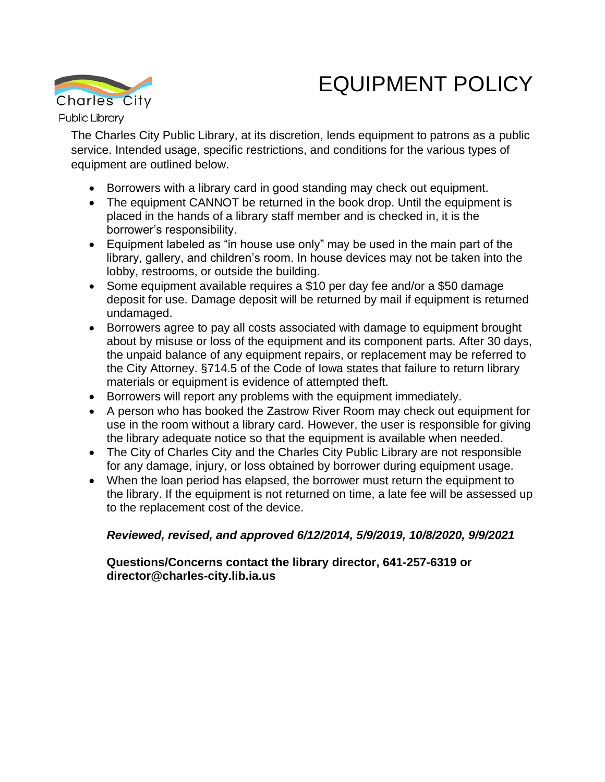## EQUIPMENT POLICY



The Charles City Public Library, at its discretion, lends equipment to patrons as a public service. Intended usage, specific restrictions, and conditions for the various types of equipment are outlined below.

- Borrowers with a library card in good standing may check out equipment.
- The equipment CANNOT be returned in the book drop. Until the equipment is placed in the hands of a library staff member and is checked in, it is the borrower's responsibility.
- Equipment labeled as "in house use only" may be used in the main part of the library, gallery, and children's room. In house devices may not be taken into the lobby, restrooms, or outside the building.
- Some equipment available requires a \$10 per day fee and/or a \$50 damage deposit for use. Damage deposit will be returned by mail if equipment is returned undamaged.
- Borrowers agree to pay all costs associated with damage to equipment brought about by misuse or loss of the equipment and its component parts. After 30 days, the unpaid balance of any equipment repairs, or replacement may be referred to the City Attorney. §714.5 of the Code of Iowa states that failure to return library materials or equipment is evidence of attempted theft.
- Borrowers will report any problems with the equipment immediately.
- A person who has booked the Zastrow River Room may check out equipment for use in the room without a library card. However, the user is responsible for giving the library adequate notice so that the equipment is available when needed.
- The City of Charles City and the Charles City Public Library are not responsible for any damage, injury, or loss obtained by borrower during equipment usage.
- When the loan period has elapsed, the borrower must return the equipment to the library. If the equipment is not returned on time, a late fee will be assessed up to the replacement cost of the device.

## *Reviewed, revised, and approved 6/12/2014, 5/9/2019, 10/8/2020, 9/9/2021*

## **Questions/Concerns contact the library director, 641-257-6319 or director@charles-city.lib.ia.us**